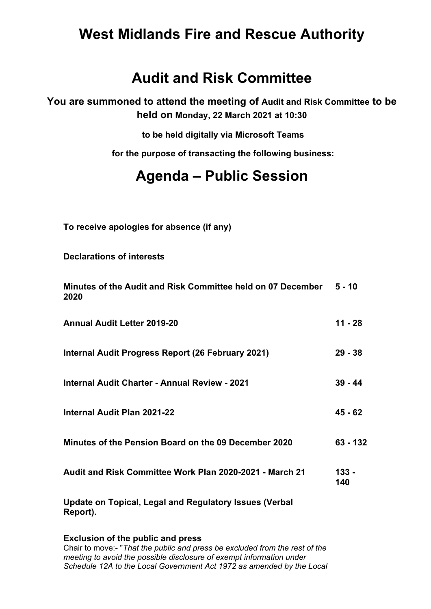## **West Midlands Fire and Rescue Authority**

### **Audit and Risk Committee**

**You are summoned to attend the meeting of Audit and Risk Committee to be held on Monday, 22 March 2021 at 10:30**

**to be held digitally via Microsoft Teams**

**for the purpose of transacting the following business:**

# **Agenda – Public Session**

**To receive apologies for absence (if any)**

**Declarations of interests**

| Minutes of the Audit and Risk Committee held on 07 December 5 - 10<br>2020 |                |
|----------------------------------------------------------------------------|----------------|
| <b>Annual Audit Letter 2019-20</b>                                         | 11 - 28        |
| Internal Audit Progress Report (26 February 2021)                          | $29 - 38$      |
| <b>Internal Audit Charter - Annual Review - 2021</b>                       | $39 - 44$      |
| <b>Internal Audit Plan 2021-22</b>                                         | $45 - 62$      |
| Minutes of the Pension Board on the 09 December 2020                       | 63 - 132       |
| Audit and Risk Committee Work Plan 2020-2021 - March 21                    | $133 -$<br>140 |
|                                                                            |                |

**Update on Topical, Legal and Regulatory Issues (Verbal Report).**

#### **Exclusion of the public and press**

Chair to move: "*That the public and press be excluded from the rest of the meeting to avoid the possible disclosure of exempt information under Schedule 12A to the Local Government Act 1972 as amended by the Local*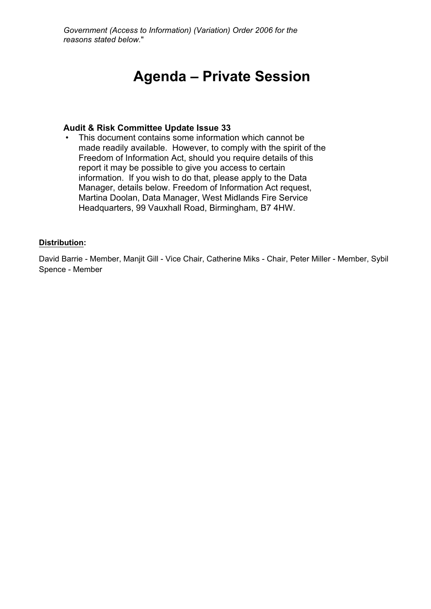*Government (Access to Information) (Variation) Order 2006 for the reasons stated below.*"

# **Agenda – Private Session**

#### **Audit & Risk Committee Update Issue 33**

This document contains some information which cannot be made readily available. However, to comply with the spirit of the Freedom of Information Act, should you require details of this report it may be possible to give you access to certain information. If you wish to do that, please apply to the Data Manager, details below. Freedom of Information Act request, Martina Doolan, Data Manager, West Midlands Fire Service Headquarters, 99 Vauxhall Road, Birmingham, B7 4HW.

#### **Distribution:**

David Barrie - Member, Manjit Gill - Vice Chair, Catherine Miks - Chair, Peter Miller - Member, Sybil Spence - Member